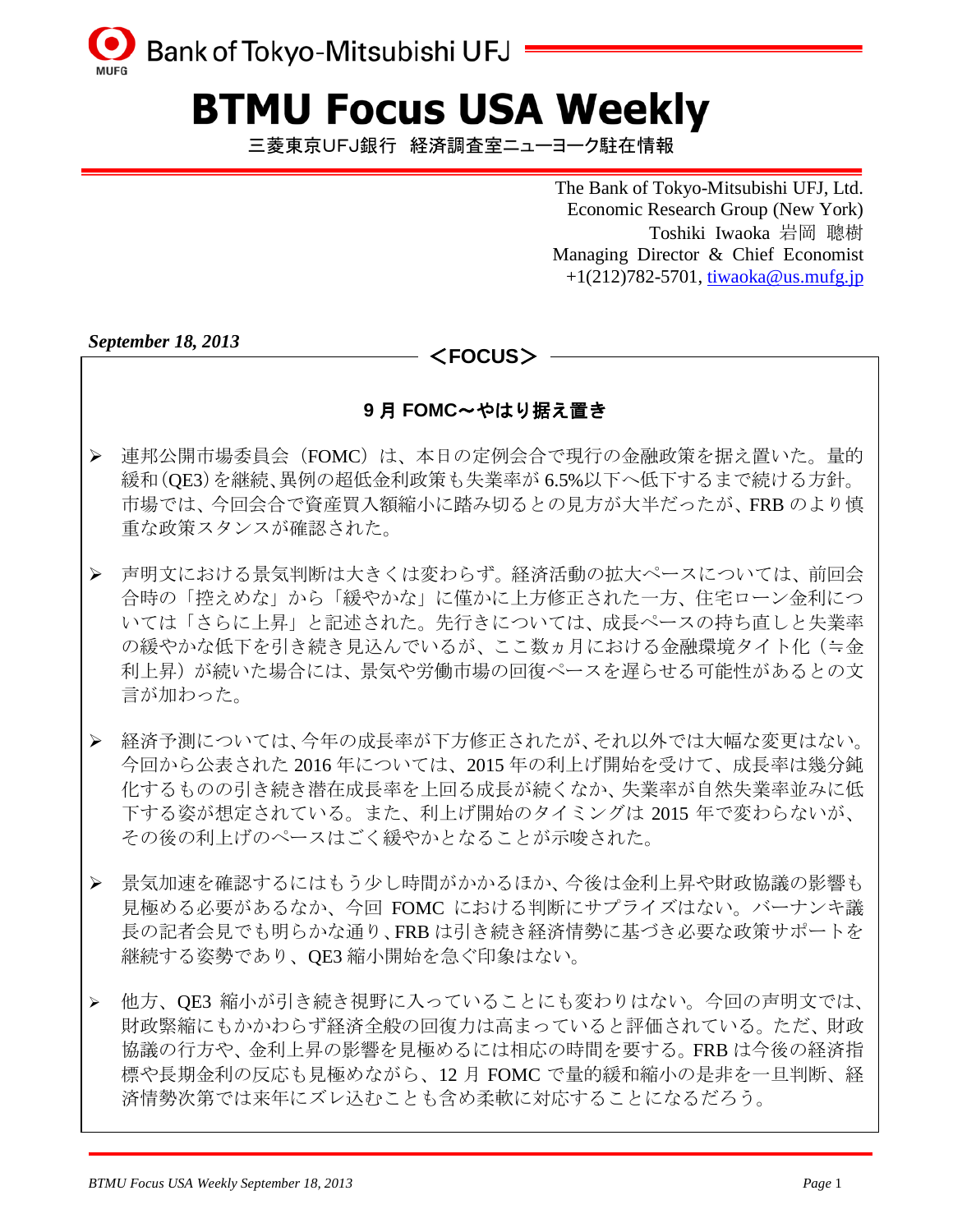

# **BTMU Focus USA Weekly**

三菱東京UFJ銀行 経済調査室ニューヨーク駐在情報

 The Bank of Tokyo-Mitsubishi UFJ, Ltd. Economic Research Group (New York) Toshiki Iwaoka 岩岡 聰樹 Managing Director & Chief Economist  $+1(212)782-5701$ , [tiwaoka@us.mufg.jp](mailto:tiwaoka@us.mufg.jp)

*September 18, 2013*

# <**FOCUS**>

# **9** 月 **FOMC**~やはり据え置き

- > 連邦公開市場委員会 (FOMC) は、本日の定例会合で現行の金融政策を据え置いた。量的 緩和(QE3)を継続、異例の超低金利政策も失業率が 6.5%以下へ低下するまで続ける方針。 市場では、今回会合で資産買入額縮小に踏み切るとの見方が大半だったが、FRB のより慎 重な政策スタンスが確認された。
- 声明文における景気判断は大きくは変わらず。経済活動の拡大ペースについては、前回会 合時の「控えめな」から「緩やかな」に僅かに上方修正された一方、住宅ローン金利につ いては「さらに上昇」と記述された。先行きについては、成長ペースの持ち直しと失業率 の緩やかな低下を引き続き見込んでいるが、ここ数ヵ月における金融環境タイト化(≒金 利上昇)が続いた場合には、景気や労働市場の回復ペースを遅らせる可能性があるとの文 言が加わった。
- 経済予測については、今年の成長率が下方修正されたが、それ以外では大幅な変更はない。 今回から公表された 2016 年については、2015 年の利上げ開始を受けて、成長率は幾分鈍 化するものの引き続き潜在成長率を上回る成長が続くなか、失業率が自然失業率並みに低 下する姿が想定されている。また、利上げ開始のタイミングは 2015 年で変わらないが、 その後の利上げのペースはごく緩やかとなることが示唆された。
- 景気加速を確認するにはもう少し時間がかかるほか、今後は金利上昇や財政協議の影響も 見極める必要があるなか、今回 FOMC における判断にサプライズはない。バーナンキ議 長の記者会見でも明らかな通り、FRB は引き続き経済情勢に基づき必要な政策サポートを 継続する姿勢であり、QE3 縮小開始を急ぐ印象はない。
- > 他方、OE3 縮小が引き続き視野に入っていることにも変わりはない。今回の声明文では、 財政緊縮にもかかわらず経済全般の回復力は高まっていると評価されている。ただ、財政 協議の行方や、金利上昇の影響を見極めるには相応の時間を要する。FRB は今後の経済指 標や長期金利の反応も見極めながら、12 月 FOMC で量的緩和縮小の是非を一旦判断、経 済情勢次第では来年にズレ込むことも含め柔軟に対応することになるだろう。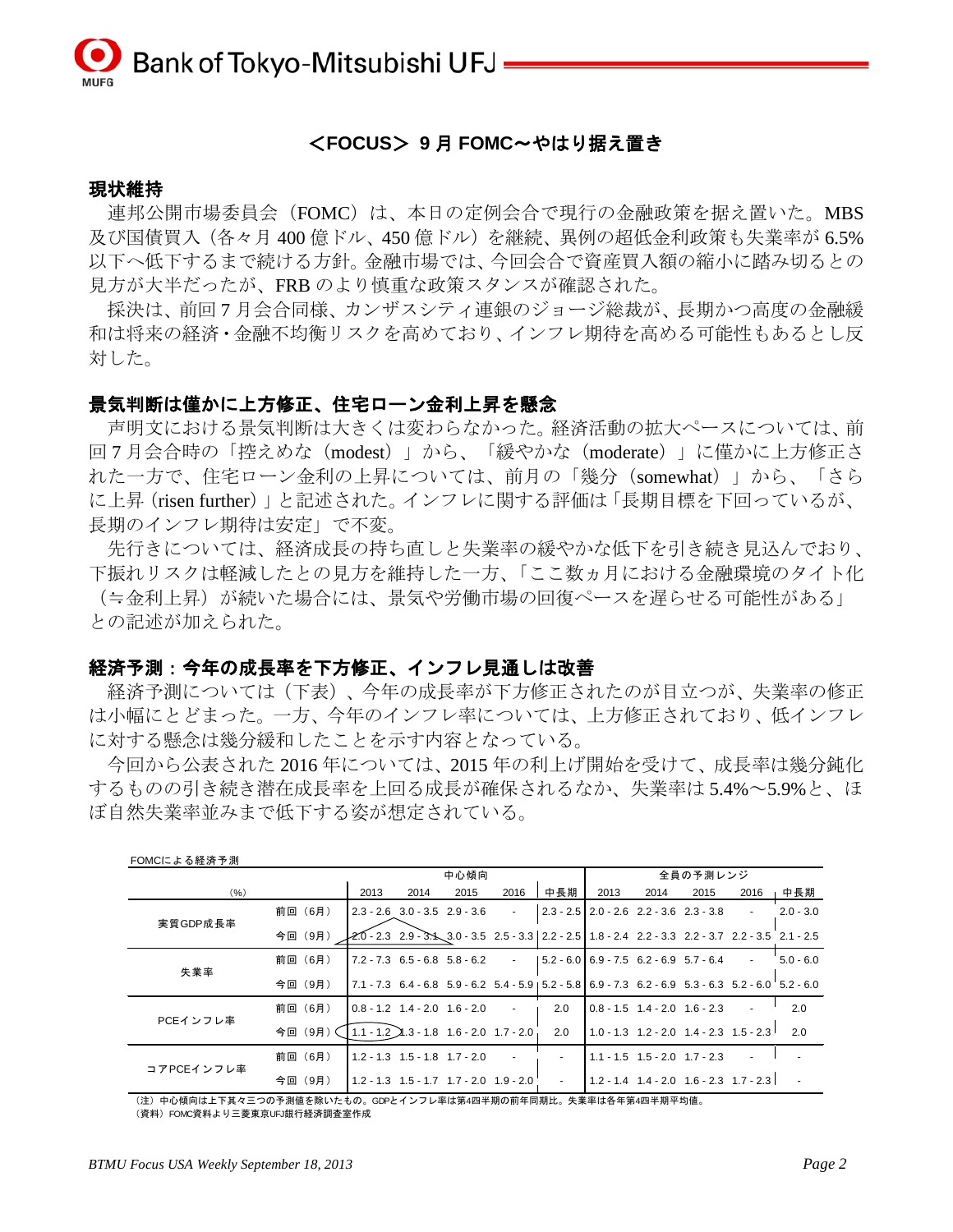# <**FOCUS**> **9** 月 **FOMC**~やはり据え置き

### 現状維持

連邦公開市場委員会(FOMC)は、本日の定例会合で現行の金融政策を据え置いた。MBS 及び国債買入(各々月 400 億ドル、450 億ドル)を継続、異例の超低金利政策も失業率が 6.5% 以下へ低下するまで続ける方針。金融市場では、今回会合で資産買入額の縮小に踏み切るとの 見方が大半だったが、FRB のより慎重な政策スタンスが確認された。

採決は、前回 7 月会合同様、カンザスシティ連銀のジョージ総裁が、長期かつ高度の金融緩 和は将来の経済・金融不均衡リスクを高めており、インフレ期待を高める可能性もあるとし反 対した。

# 景気判断は僅かに上方修正、住宅ローン金利上昇を懸念

声明文における景気判断は大きくは変わらなかった。経済活動の拡大ペースについては、前 回 7 月会合時の「控えめな(modest)」から、「緩やかな(moderate)」に僅かに上方修正さ れた一方で、住宅ローン金利の上昇については、前月の「幾分(somewhat)」から、「さら に上昇(risen further)」と記述された。インフレに関する評価は「長期目標を下回っているが、 長期のインフレ期待は安定」で不変。

先行きについては、経済成長の持ち直しと失業率の緩やかな低下を引き続き見込んでおり、 下振れリスクは軽減したとの見方を維持した一方、「ここ数ヵ月における金融環境のタイト化 (≒金利上昇)が続いた場合には、景気や労働市場の回復ペースを遅らせる可能性がある」 との記述が加えられた。

# 経済予測:今年の成長率を下方修正、インフレ見通しは改善

経済予測については(下表)、今年の成長率が下方修正されたのが目立つが、失業率の修正 は小幅にとどまった。一方、今年のインフレ率については、上方修正されており、低インフレ に対する懸念は幾分緩和したことを示す内容となっている。

今回から公表された 2016 年については、2015 年の利上げ開始を受けて、成長率は幾分鈍化 するものの引き続き潜在成長率を上回る成長が確保されるなか、失業率は 5.4%~5.9%と、ほ ぼ自然失業率並みまで低下する姿が想定されている。

| FUMUによる確消ア測 |         |      |                                                         |      |                                                   |                                           |          |                                 |                                                                                                              |        |             |
|-------------|---------|------|---------------------------------------------------------|------|---------------------------------------------------|-------------------------------------------|----------|---------------------------------|--------------------------------------------------------------------------------------------------------------|--------|-------------|
|             |         | 中心傾向 |                                                         |      |                                                   |                                           | 全員の予測レンジ |                                 |                                                                                                              |        |             |
| (% )        |         | 2013 | 2014                                                    | 2015 | 2016                                              | 中長期                                       | 2013     | 2014                            | 2015                                                                                                         | 2016   | 中長期         |
| 実質GDP成長率    | 前回 (6月) |      | $2.3 - 2.6$ 3.0 - 3.5 2.9 - 3.6                         |      | $\sim$                                            | $2.3 - 2.5$ 2.0 - 2.6 2.2 - 3.6 2.3 - 3.8 |          |                                 |                                                                                                              |        | $2.0 - 3.0$ |
|             | 今回(9月)  |      |                                                         |      |                                                   |                                           |          |                                 | $2.0 - 2.3$ 2.9 $-3 + 30 - 3.5$ 2.5 $-3.3$ 2.2 $-2.5$ 1.8 $-2.4$ 2.2 $-3.3$ 2.2 $-3.7$ 2.2 $-3.5$ 2.1 $-2.5$ |        |             |
| 失業率         | 前回 (6月) |      | $7.2 - 7.3$ 6.5 - 6.8 5.8 - 6.2                         |      | $\sim 100$                                        | $5.2 - 6.0$ 6.9 - 7.5 6.2 - 6.9 5.7 - 6.4 |          |                                 |                                                                                                              | $\sim$ | $5.0 - 6.0$ |
|             | 今回 (9月) |      |                                                         |      |                                                   |                                           |          |                                 | 17.1 - 7.3 6.4 - 6.8 5.9 - 6.2 5.4 - 5.9 15.2 - 5.8 6.9 - 7.3 6.2 - 6.9 5.3 - 6.3 5.2 - 6.0 5.2 - 6.0        |        |             |
| PCEインフレ率    | 前回 (6月) |      | $\vert 0.8 - 1.2 \vert 1.4 - 2.0 \vert 1.6 - 2.0 \vert$ |      | $\sim$                                            | 2.0                                       |          | $0.8 - 1.5$ 1.4 - 2.0 1.6 - 2.3 |                                                                                                              |        | 2.0         |
|             | 今回 (9月) |      |                                                         |      | $1.1 - 1.2$ $\lambda$ 3 - 1.8 1.6 - 2.0 1.7 - 2.0 | 2.0                                       |          |                                 | $1.0 - 1.3$ 1.2 - 2.0 1.4 - 2.3 1.5 - 2.3 2.0                                                                |        |             |
| コアPCEインフレ率  | 前回 (6月) |      | $1.2 - 1.3$ 1.5 - 1.8 1.7 - 2.0                         |      | $\blacksquare$                                    |                                           |          | $1.1 - 1.5$ 1.5 - 2.0 1.7 - 2.3 |                                                                                                              |        |             |
|             | 今回 (9月) |      | $1.2 - 1.3$ 1.5 - 1.7 1.7 - 2.0 1.9 - 2.0               |      |                                                   |                                           |          |                                 | $1.2 - 1.4$ 1.4 - 2.0 1.6 - 2.3 1.7 - 2.3                                                                    |        |             |

(注)中心傾向は上下其々三つの予測値を除いたもの。GDPとインフレ率は第4四半期の前年同期比。失業率は各年第4四半期平均値。

(資料)FOMC資料より三菱東京UFJ銀行経済調査室作成

 $F(0,10) = 1.747 + 7.9$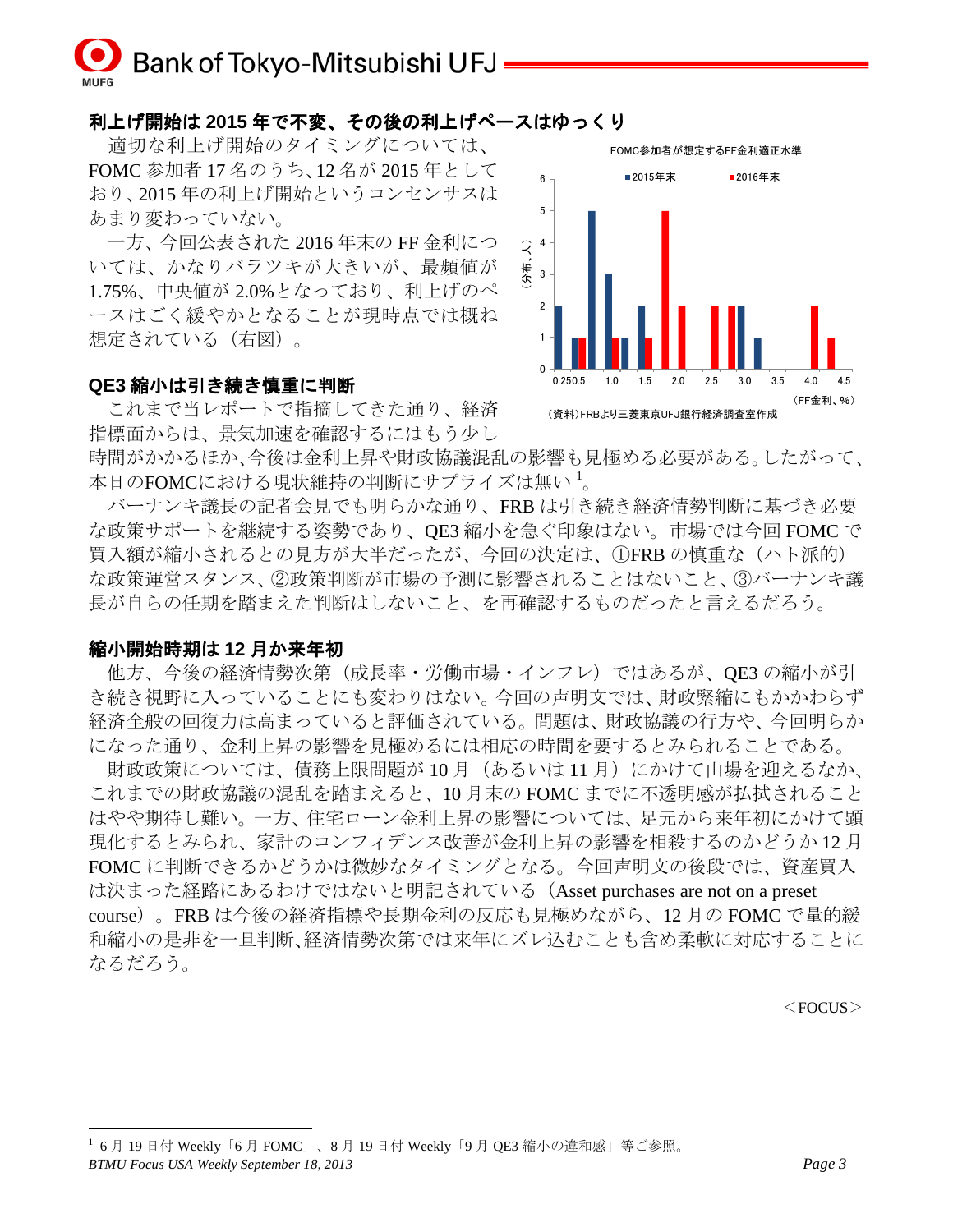# Bank of Tokyo-Mitsubishi UFJ

# 利上げ開始は **2015** 年で不変、その後の利上げペースはゆっくり

適切な利上げ開始のタイミングについては、 FOMC 参加者 17 名のうち、12 名が 2015 年として おり、2015 年の利上げ開始というコンセンサスは あまり変わっていない。

一方、今回公表された 2016 年末の FF 金利につ いては、かなりバラツキが大きいが、最頻値が 1.75%、中央値が 2.0%となっており、利上げのペ ースはごく緩やかとなることが現時点では概ね 想定されている(右図)。

# **QE3** 縮小は引き続き慎重に判断

これまで当レポートで指摘してきた通り、経済 指標面からは、景気加速を確認するにはもう少し



時間がかかるほか、今後は金利上昇や財政協議混乱の影響も見極める必要がある。したがって、 本日のFOMCにおける現状維持の判断にサプライズは無い<sup>[1](#page-2-0)</sup>。

バーナンキ議長の記者会見でも明らかな通り、FRB は引き続き経済情勢判断に基づき必要 な政策サポートを継続する姿勢であり、QE3 縮小を急ぐ印象はない。市場では今回 FOMC で 買入額が縮小されるとの見方が大半だったが、今回の決定は、①FRB の慎重な(ハト派的) な政策運営スタンス、②政策判断が市場の予測に影響されることはないこと、③バーナンキ議 長が自らの任期を踏まえた判断はしないこと、を再確認するものだったと言えるだろう。

# 縮小開始時期は **12** 月か来年初

他方、今後の経済情勢次第(成長率・労働市場・インフレ)ではあるが、QE3 の縮小が引 き続き視野に入っていることにも変わりはない。今回の声明文では、財政緊縮にもかかわらず 経済全般の回復力は高まっていると評価されている。問題は、財政協議の行方や、今回明らか になった通り、金利上昇の影響を見極めるには相応の時間を要するとみられることである。

財政政策については、債務上限問題が 10 月(あるいは 11 月)にかけて山場を迎えるなか、 これまでの財政協議の混乱を踏まえると、10 月末の FOMC までに不透明感が払拭されること はやや期待し難い。一方、住宅ローン金利上昇の影響については、足元から来年初にかけて顕 現化するとみられ、家計のコンフィデンス改善が金利上昇の影響を相殺するのかどうか 12 月 FOMC に判断できるかどうかは微妙なタイミングとなる。今回声明文の後段では、資産買入 は決まった経路にあるわけではないと明記されている(Asset purchases are not on a preset course)。FRB は今後の経済指標や長期金利の反応も見極めながら、12 月の FOMC で量的緩 和縮小の是非を一旦判断、経済情勢次第では来年にズレ込むことも含め柔軟に対応することに なるだろう。

 $<$ FOCUS $>$ 

<span id="page-2-0"></span>*BTMU Focus USA Weekly September 18, 2013 Page 3* 1 <sup>6</sup> <sup>月</sup> <sup>19</sup> 日付 Weekly「<sup>6</sup> <sup>月</sup> FOMC」、<sup>8</sup> <sup>月</sup> <sup>19</sup> 日付 Weekly「<sup>9</sup> <sup>月</sup> QE3 縮小の違和感」等ご参照。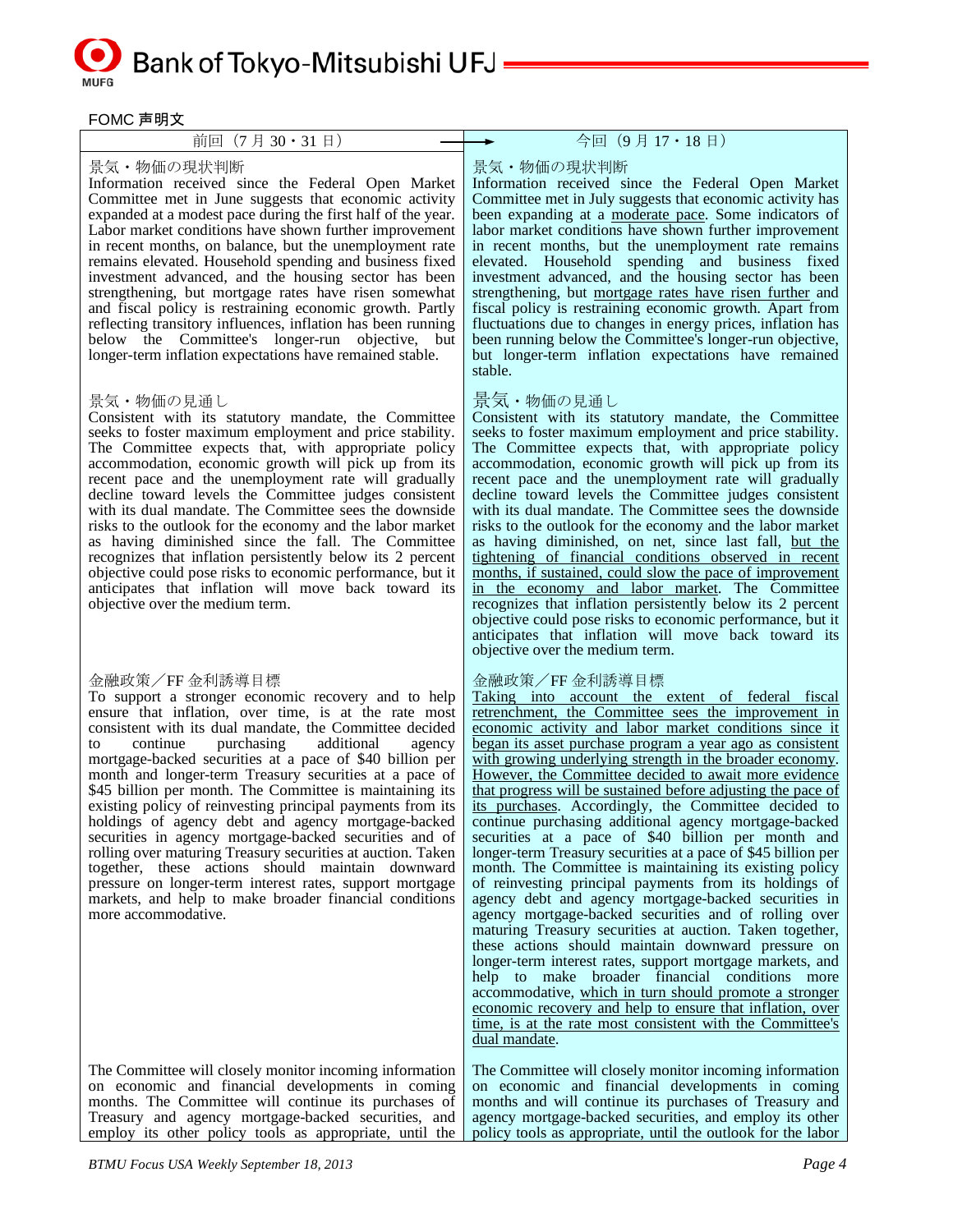

#### FOMC 声明文

#### 前回(7 月 30・31 日) 今回(9 月 17・18 日)

景気・物価の現状判断

Information received since the Federal Open Market Committee met in June suggests that economic activity expanded at a modest pace during the first half of the year. Labor market conditions have shown further improvement in recent months, on balance, but the unemployment rate remains elevated. Household spending and business fixed investment advanced, and the housing sector has been strengthening, but mortgage rates have risen somewhat and fiscal policy is restraining economic growth. Partly reflecting transitory influences, inflation has been running below the Committee's longer-run objective, but longer-term inflation expectations have remained stable.

#### 景気・物価の見通し

Consistent with its statutory mandate, the Committee seeks to foster maximum employment and price stability. The Committee expects that, with appropriate policy accommodation, economic growth will pick up from its recent pace and the unemployment rate will gradually decline toward levels the Committee judges consistent with its dual mandate. The Committee sees the downside risks to the outlook for the economy and the labor market as having diminished since the fall. The Committee recognizes that inflation persistently below its 2 percent objective could pose risks to economic performance, but it anticipates that inflation will move back toward its objective over the medium term.

#### 金融政策/FF 金利誘導目標

To support a stronger economic recovery and to help ensure that inflation, over time, is at the rate most consistent with its dual mandate, the Committee decided<br>to continue purchasing additional agency to continue purchasing additional agency mortgage-backed securities at a pace of \$40 billion per month and longer-term Treasury securities at a pace of \$45 billion per month. The Committee is maintaining its existing policy of reinvesting principal payments from its holdings of agency debt and agency mortgage-backed securities in agency mortgage-backed securities and of rolling over maturing Treasury securities at auction. Taken together, these actions should maintain downward pressure on longer-term interest rates, support mortgage markets, and help to make broader financial conditions more accommodative.

The Committee will closely monitor incoming information on economic and financial developments in coming months. The Committee will continue its purchases of Treasury and agency mortgage-backed securities, and employ its other policy tools as appropriate, until the

### *BTMU Focus USA Weekly September 18, 2013 Page 4*

#### 景気・物価の現状判断

Information received since the Federal Open Market Committee met in July suggests that economic activity has been expanding at a moderate pace. Some indicators of labor market conditions have shown further improvement in recent months, but the unemployment rate remains elevated. Household spending and business fixed investment advanced, and the housing sector has been strengthening, but mortgage rates have risen further and fiscal policy is restraining economic growth. Apart from fluctuations due to changes in energy prices, inflation has been running below the Committee's longer-run objective, but longer-term inflation expectations have remained stable.

#### 景気・物価の見通し

Consistent with its statutory mandate, the Committee seeks to foster maximum employment and price stability. The Committee expects that, with appropriate policy accommodation, economic growth will pick up from its recent pace and the unemployment rate will gradually decline toward levels the Committee judges consistent with its dual mandate. The Committee sees the downside risks to the outlook for the economy and the labor market as having diminished, on net, since last fall, but the tightening of financial conditions observed in recent months, if sustained, could slow the pace of improvement in the economy and labor market. The Committee recognizes that inflation persistently below its 2 percent objective could pose risks to economic performance, but it anticipates that inflation will move back toward its objective over the medium term.

#### 金融政策/FF 金利誘導目標

Taking into account the extent of federal fiscal retrenchment, the Committee sees the improvement in economic activity and labor market conditions since it began its asset purchase program a year ago as consistent with growing underlying strength in the broader economy.<br>However, the Committee decided to await more evidence that progress will be sustained before adjusting the pace of its purchases. Accordingly, the Committee decided to continue purchasing additional agency mortgage-backed securities at a pace of \$40 billion per month and longer-term Treasury securities at a pace of \$45 billion per month. The Committee is maintaining its existing policy of reinvesting principal payments from its holdings of agency debt and agency mortgage-backed securities in agency mortgage-backed securities and of rolling over maturing Treasury securities at auction. Taken together, these actions should maintain downward pressure on longer-term interest rates, support mortgage markets, and help to make broader financial conditions more accommodative, which in turn should promote a stronger economic recovery and help to ensure that inflation, over time, is at the rate most consistent with the Committee's dual mandate.

The Committee will closely monitor incoming information on economic and financial developments in coming months and will continue its purchases of Treasury and agency mortgage-backed securities, and employ its other policy tools as appropriate, until the outlook for the labor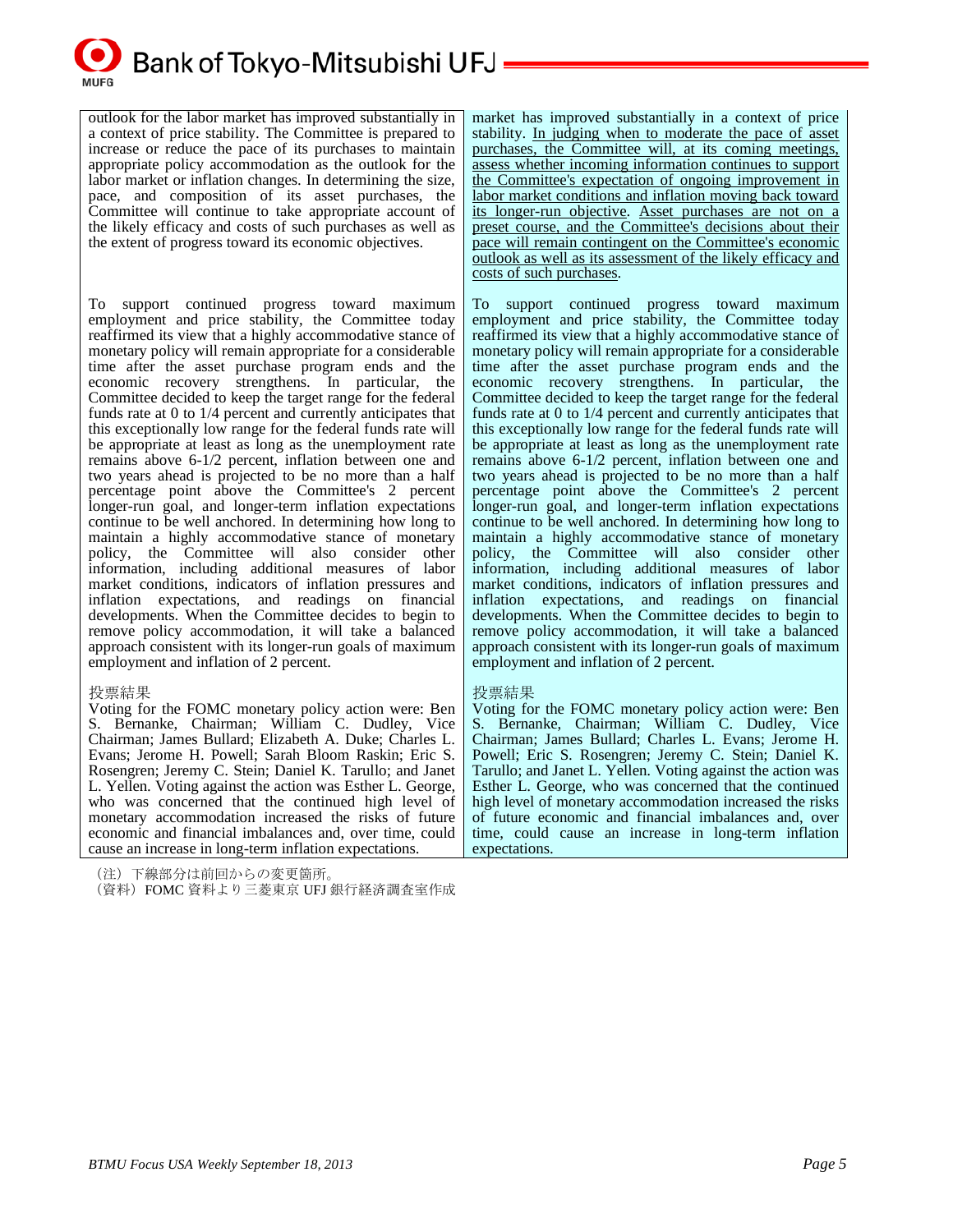

outlook for the labor market has improved substantially in a context of price stability. The Committee is prepared to increase or reduce the pace of its purchases to maintain appropriate policy accommodation as the outlook for the labor market or inflation changes. In determining the size, pace, and composition of its asset purchases, the Committee will continue to take appropriate account of the likely efficacy and costs of such purchases as well as the extent of progress toward its economic objectives.

To support continued progress toward maximum employment and price stability, the Committee today reaffirmed its view that a highly accommodative stance of monetary policy will remain appropriate for a considerable time after the asset purchase program ends and the economic recovery strengthens. In particular, the Committee decided to keep the target range for the federal funds rate at 0 to 1/4 percent and currently anticipates that this exceptionally low range for the federal funds rate will be appropriate at least as long as the unemployment rate remains above 6-1/2 percent, inflation between one and two years ahead is projected to be no more than a half percentage point above the Committee's 2 percent longer-run goal, and longer-term inflation expectations continue to be well anchored. In determining how long to maintain a highly accommodative stance of monetary policy, the Committee will also consider other information, including additional measures of labor market conditions, indicators of inflation pressures and inflation expectations, and readings on financial developments. When the Committee decides to begin to remove policy accommodation, it will take a balanced approach consistent with its longer-run goals of maximum employment and inflation of 2 percent.

#### 投票結果

Voting for the FOMC monetary policy action were: Ben S. Bernanke, Chairman; William C. Dudley, Vice Chairman; James Bullard; Elizabeth A. Duke; Charles L. Evans; Jerome H. Powell; Sarah Bloom Raskin; Eric S. Rosengren; Jeremy C. Stein; Daniel K. Tarullo; and Janet L. Yellen. Voting against the action was Esther L. George, who was concerned that the continued high level of monetary accommodation increased the risks of future economic and financial imbalances and, over time, could cause an increase in long-term inflation expectations.

(注)下線部分は前回からの変更箇所。

(資料)FOMC 資料より三菱東京 UFJ 銀行経済調査室作成

market has improved substantially in a context of price stability. In judging when to moderate the pace of asset purchases, the Committee will, at its coming meetings, assess whether incoming information continues to support the Committee's expectation of ongoing improvement in labor market conditions and inflation moving back toward its longer-run objective. Asset purchases are not on a preset course, and the Committee's decisions about their pace will remain contingent on the Committee's economic outlook as well as its assessment of the likely efficacy and costs of such purchases.

To support continued progress toward maximum employment and price stability, the Committee today reaffirmed its view that a highly accommodative stance of monetary policy will remain appropriate for a considerable time after the asset purchase program ends and the economic recovery strengthens. In particular, the Committee decided to keep the target range for the federal funds rate at 0 to 1/4 percent and currently anticipates that this exceptionally low range for the federal funds rate will be appropriate at least as long as the unemployment rate remains above 6-1/2 percent, inflation between one and two years ahead is projected to be no more than a half percentage point above the Committee's 2 percent longer-run goal, and longer-term inflation expectations continue to be well anchored. In determining how long to maintain a highly accommodative stance of monetary policy, the Committee will also consider other information, including additional measures of labor market conditions, indicators of inflation pressures and inflation expectations, and readings on financial developments. When the Committee decides to begin to remove policy accommodation, it will take a balanced approach consistent with its longer-run goals of maximum employment and inflation of 2 percent.

#### 投票結果

Voting for the FOMC monetary policy action were: Ben S. Bernanke, Chairman; William C. Dudley, Vice Chairman; James Bullard; Charles L. Evans; Jerome H. Powell; Eric S. Rosengren; Jeremy C. Stein; Daniel K. Tarullo; and Janet L. Yellen. Voting against the action was Esther L. George, who was concerned that the continued high level of monetary accommodation increased the risks of future economic and financial imbalances and, over time, could cause an increase in long-term inflation expectations.